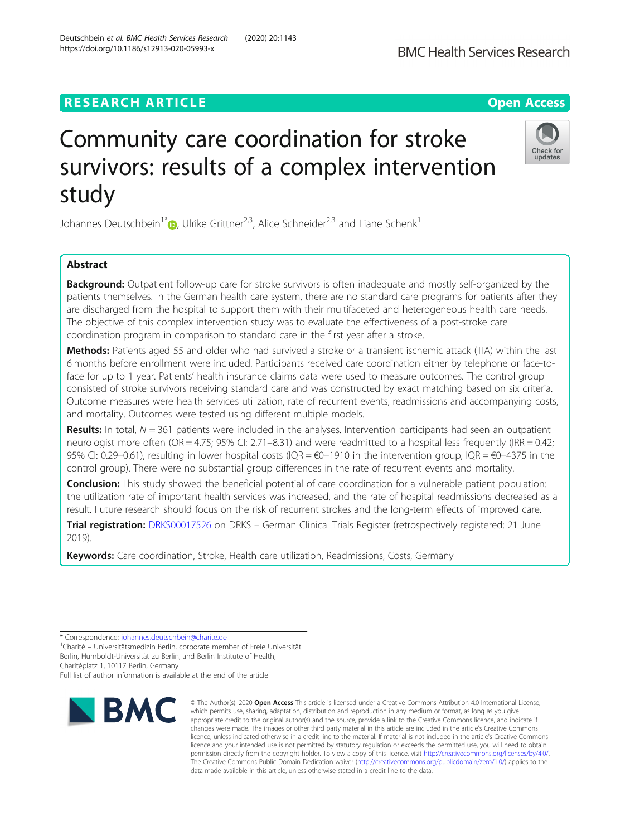# **RESEARCH ARTICLE Example 2014 12:30 The Contract of Contract ACCESS**

# Community care coordination for stroke survivors: results of a complex intervention study

Johannes Deutschbein<sup>1\*</sup> <sub>(b</sub>, Ulrike Grittner<sup>2,3</sup>, Alice Schneider<sup>2,3</sup> and Liane Schenk<sup>1</sup>

# Abstract

**Background:** Outpatient follow-up care for stroke survivors is often inadequate and mostly self-organized by the patients themselves. In the German health care system, there are no standard care programs for patients after they are discharged from the hospital to support them with their multifaceted and heterogeneous health care needs. The objective of this complex intervention study was to evaluate the effectiveness of a post-stroke care coordination program in comparison to standard care in the first year after a stroke.

Methods: Patients aged 55 and older who had survived a stroke or a transient ischemic attack (TIA) within the last 6 months before enrollment were included. Participants received care coordination either by telephone or face-toface for up to 1 year. Patients' health insurance claims data were used to measure outcomes. The control group consisted of stroke survivors receiving standard care and was constructed by exact matching based on six criteria. Outcome measures were health services utilization, rate of recurrent events, readmissions and accompanying costs, and mortality. Outcomes were tested using different multiple models.

Results: In total,  $N = 361$  patients were included in the analyses. Intervention participants had seen an outpatient neurologist more often (OR = 4.75; 95% CI: 2.71–8.31) and were readmitted to a hospital less frequently (IRR = 0.42; 95% CI: 0.29–0.61), resulting in lower hospital costs (IQR =  $\epsilon$ 0–1910 in the intervention group, IQR =  $\epsilon$ 0–4375 in the control group). There were no substantial group differences in the rate of recurrent events and mortality.

Conclusion: This study showed the beneficial potential of care coordination for a vulnerable patient population: the utilization rate of important health services was increased, and the rate of hospital readmissions decreased as a result. Future research should focus on the risk of recurrent strokes and the long-term effects of improved care.

Trial registration: [DRKS00017526](https://www.drks.de/drks_web/navigate.do?navigationId=trial.HTML&TRIAL_ID=DRKS00017526) on DRKS – German Clinical Trials Register (retrospectively registered: 21 June 2019).

Keywords: Care coordination, Stroke, Health care utilization, Readmissions, Costs, Germany

\* Correspondence: [johannes.deutschbein@charite.de](mailto:johannes.deutschbein@charite.de) <sup>1</sup>

**BMC** 

<sup>1</sup>Charité – Universitätsmedizin Berlin, corporate member of Freie Universität Berlin, Humboldt-Universität zu Berlin, and Berlin Institute of Health, Charitéplatz 1, 10117 Berlin, Germany Full list of author information is available at the end of the article

© The Author(s), 2020 **Open Access** This article is licensed under a Creative Commons Attribution 4.0 International License, which permits use, sharing, adaptation, distribution and reproduction in any medium or format, as long as you give appropriate credit to the original author(s) and the source, provide a link to the Creative Commons licence, and indicate if changes were made. The images or other third party material in this article are included in the article's Creative Commons licence, unless indicated otherwise in a credit line to the material. If material is not included in the article's Creative Commons licence and your intended use is not permitted by statutory regulation or exceeds the permitted use, you will need to obtain permission directly from the copyright holder. To view a copy of this licence, visit [http://creativecommons.org/licenses/by/4.0/.](http://creativecommons.org/licenses/by/4.0/) The Creative Commons Public Domain Dedication waiver [\(http://creativecommons.org/publicdomain/zero/1.0/](http://creativecommons.org/publicdomain/zero/1.0/)) applies to the

data made available in this article, unless otherwise stated in a credit line to the data.



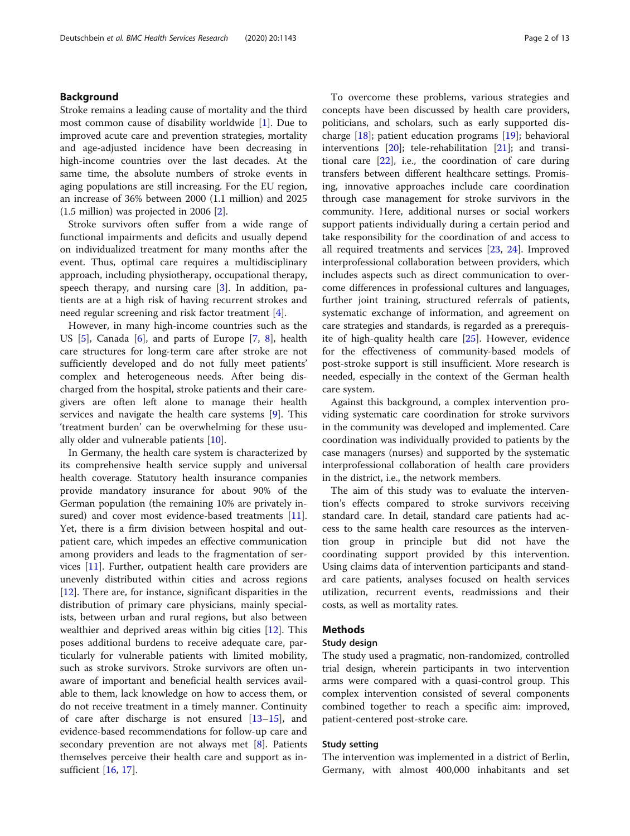# Background

Stroke remains a leading cause of mortality and the third most common cause of disability worldwide [[1\]](#page-11-0). Due to improved acute care and prevention strategies, mortality and age-adjusted incidence have been decreasing in high-income countries over the last decades. At the same time, the absolute numbers of stroke events in aging populations are still increasing. For the EU region, an increase of 36% between 2000 (1.1 million) and 2025 (1.5 million) was projected in 2006 [\[2](#page-11-0)].

Stroke survivors often suffer from a wide range of functional impairments and deficits and usually depend on individualized treatment for many months after the event. Thus, optimal care requires a multidisciplinary approach, including physiotherapy, occupational therapy, speech therapy, and nursing care [[3\]](#page-11-0). In addition, patients are at a high risk of having recurrent strokes and need regular screening and risk factor treatment [[4\]](#page-11-0).

However, in many high-income countries such as the US [[5\]](#page-11-0), Canada [[6\]](#page-11-0), and parts of Europe [[7,](#page-11-0) [8](#page-11-0)], health care structures for long-term care after stroke are not sufficiently developed and do not fully meet patients' complex and heterogeneous needs. After being discharged from the hospital, stroke patients and their caregivers are often left alone to manage their health services and navigate the health care systems [[9\]](#page-11-0). This 'treatment burden' can be overwhelming for these usually older and vulnerable patients [[10\]](#page-11-0).

In Germany, the health care system is characterized by its comprehensive health service supply and universal health coverage. Statutory health insurance companies provide mandatory insurance for about 90% of the German population (the remaining 10% are privately in-sured) and cover most evidence-based treatments [\[11](#page-11-0)]. Yet, there is a firm division between hospital and outpatient care, which impedes an effective communication among providers and leads to the fragmentation of services [[11](#page-11-0)]. Further, outpatient health care providers are unevenly distributed within cities and across regions [[12\]](#page-11-0). There are, for instance, significant disparities in the distribution of primary care physicians, mainly specialists, between urban and rural regions, but also between wealthier and deprived areas within big cities [\[12](#page-11-0)]. This poses additional burdens to receive adequate care, particularly for vulnerable patients with limited mobility, such as stroke survivors. Stroke survivors are often unaware of important and beneficial health services available to them, lack knowledge on how to access them, or do not receive treatment in a timely manner. Continuity of care after discharge is not ensured  $[13-15]$  $[13-15]$  $[13-15]$ , and evidence-based recommendations for follow-up care and secondary prevention are not always met [[8\]](#page-11-0). Patients themselves perceive their health care and support as insufficient [\[16,](#page-11-0) [17\]](#page-11-0).

To overcome these problems, various strategies and concepts have been discussed by health care providers, politicians, and scholars, such as early supported discharge  $[18]$  $[18]$ ; patient education programs  $[19]$  $[19]$ ; behavioral interventions [\[20](#page-11-0)]; tele-rehabilitation [\[21\]](#page-11-0); and transitional care  $[22]$  $[22]$ , i.e., the coordination of care during transfers between different healthcare settings. Promising, innovative approaches include care coordination through case management for stroke survivors in the community. Here, additional nurses or social workers support patients individually during a certain period and take responsibility for the coordination of and access to all required treatments and services [\[23](#page-11-0), [24](#page-11-0)]. Improved interprofessional collaboration between providers, which includes aspects such as direct communication to overcome differences in professional cultures and languages, further joint training, structured referrals of patients, systematic exchange of information, and agreement on care strategies and standards, is regarded as a prerequisite of high-quality health care [\[25](#page-11-0)]. However, evidence for the effectiveness of community-based models of post-stroke support is still insufficient. More research is needed, especially in the context of the German health care system.

Against this background, a complex intervention providing systematic care coordination for stroke survivors in the community was developed and implemented. Care coordination was individually provided to patients by the case managers (nurses) and supported by the systematic interprofessional collaboration of health care providers in the district, i.e., the network members.

The aim of this study was to evaluate the intervention's effects compared to stroke survivors receiving standard care. In detail, standard care patients had access to the same health care resources as the intervention group in principle but did not have the coordinating support provided by this intervention. Using claims data of intervention participants and standard care patients, analyses focused on health services utilization, recurrent events, readmissions and their costs, as well as mortality rates.

# Methods

# Study design

The study used a pragmatic, non-randomized, controlled trial design, wherein participants in two intervention arms were compared with a quasi-control group. This complex intervention consisted of several components combined together to reach a specific aim: improved, patient-centered post-stroke care.

# Study setting

The intervention was implemented in a district of Berlin, Germany, with almost 400,000 inhabitants and set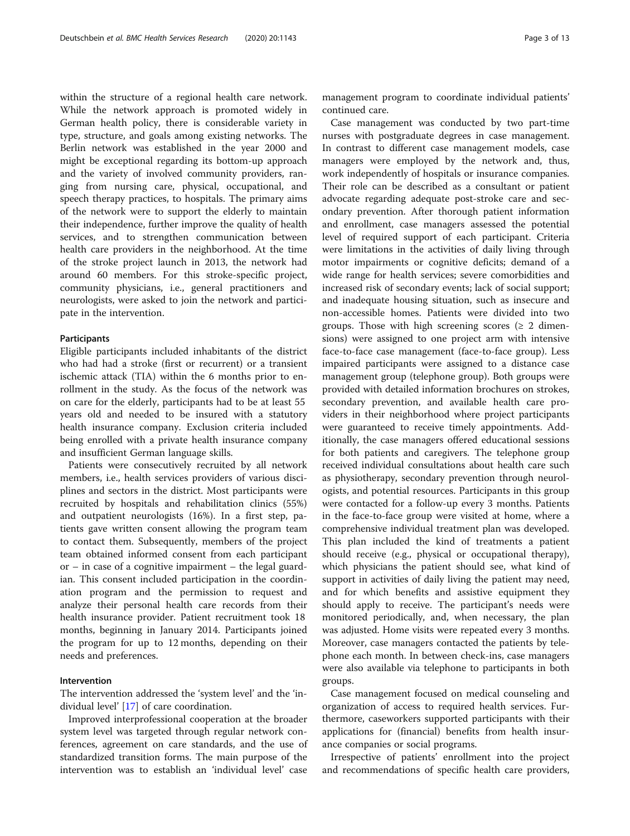within the structure of a regional health care network. While the network approach is promoted widely in German health policy, there is considerable variety in type, structure, and goals among existing networks. The Berlin network was established in the year 2000 and might be exceptional regarding its bottom-up approach and the variety of involved community providers, ranging from nursing care, physical, occupational, and speech therapy practices, to hospitals. The primary aims of the network were to support the elderly to maintain their independence, further improve the quality of health services, and to strengthen communication between health care providers in the neighborhood. At the time of the stroke project launch in 2013, the network had around 60 members. For this stroke-specific project, community physicians, i.e., general practitioners and neurologists, were asked to join the network and participate in the intervention.

# Participants

Eligible participants included inhabitants of the district who had had a stroke (first or recurrent) or a transient ischemic attack (TIA) within the 6 months prior to enrollment in the study. As the focus of the network was on care for the elderly, participants had to be at least 55 years old and needed to be insured with a statutory health insurance company. Exclusion criteria included being enrolled with a private health insurance company and insufficient German language skills.

Patients were consecutively recruited by all network members, i.e., health services providers of various disciplines and sectors in the district. Most participants were recruited by hospitals and rehabilitation clinics (55%) and outpatient neurologists (16%). In a first step, patients gave written consent allowing the program team to contact them. Subsequently, members of the project team obtained informed consent from each participant or – in case of a cognitive impairment – the legal guardian. This consent included participation in the coordination program and the permission to request and analyze their personal health care records from their health insurance provider. Patient recruitment took 18 months, beginning in January 2014. Participants joined the program for up to 12 months, depending on their needs and preferences.

# Intervention

The intervention addressed the 'system level' and the 'individual level' [\[17](#page-11-0)] of care coordination.

Improved interprofessional cooperation at the broader system level was targeted through regular network conferences, agreement on care standards, and the use of standardized transition forms. The main purpose of the intervention was to establish an 'individual level' case

management program to coordinate individual patients' continued care.

Case management was conducted by two part-time nurses with postgraduate degrees in case management. In contrast to different case management models, case managers were employed by the network and, thus, work independently of hospitals or insurance companies. Their role can be described as a consultant or patient advocate regarding adequate post-stroke care and secondary prevention. After thorough patient information and enrollment, case managers assessed the potential level of required support of each participant. Criteria were limitations in the activities of daily living through motor impairments or cognitive deficits; demand of a wide range for health services; severe comorbidities and increased risk of secondary events; lack of social support; and inadequate housing situation, such as insecure and non-accessible homes. Patients were divided into two groups. Those with high screening scores ( $\geq 2$  dimensions) were assigned to one project arm with intensive face-to-face case management (face-to-face group). Less impaired participants were assigned to a distance case management group (telephone group). Both groups were provided with detailed information brochures on strokes, secondary prevention, and available health care providers in their neighborhood where project participants were guaranteed to receive timely appointments. Additionally, the case managers offered educational sessions for both patients and caregivers. The telephone group received individual consultations about health care such as physiotherapy, secondary prevention through neurologists, and potential resources. Participants in this group were contacted for a follow-up every 3 months. Patients in the face-to-face group were visited at home, where a comprehensive individual treatment plan was developed. This plan included the kind of treatments a patient should receive (e.g., physical or occupational therapy), which physicians the patient should see, what kind of support in activities of daily living the patient may need, and for which benefits and assistive equipment they should apply to receive. The participant's needs were monitored periodically, and, when necessary, the plan was adjusted. Home visits were repeated every 3 months. Moreover, case managers contacted the patients by telephone each month. In between check-ins, case managers were also available via telephone to participants in both groups.

Case management focused on medical counseling and organization of access to required health services. Furthermore, caseworkers supported participants with their applications for (financial) benefits from health insurance companies or social programs.

Irrespective of patients' enrollment into the project and recommendations of specific health care providers,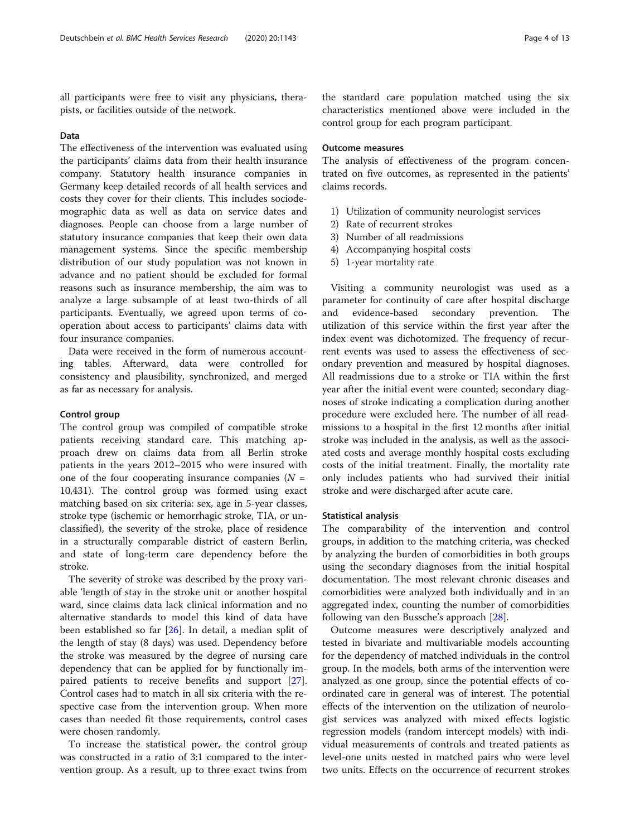all participants were free to visit any physicians, therapists, or facilities outside of the network.

# Data

The effectiveness of the intervention was evaluated using the participants' claims data from their health insurance company. Statutory health insurance companies in Germany keep detailed records of all health services and costs they cover for their clients. This includes sociodemographic data as well as data on service dates and diagnoses. People can choose from a large number of statutory insurance companies that keep their own data management systems. Since the specific membership distribution of our study population was not known in advance and no patient should be excluded for formal reasons such as insurance membership, the aim was to analyze a large subsample of at least two-thirds of all participants. Eventually, we agreed upon terms of cooperation about access to participants' claims data with four insurance companies.

Data were received in the form of numerous accounting tables. Afterward, data were controlled for consistency and plausibility, synchronized, and merged as far as necessary for analysis.

# Control group

The control group was compiled of compatible stroke patients receiving standard care. This matching approach drew on claims data from all Berlin stroke patients in the years 2012–2015 who were insured with one of the four cooperating insurance companies  $(N =$ 10,431). The control group was formed using exact matching based on six criteria: sex, age in 5-year classes, stroke type (ischemic or hemorrhagic stroke, TIA, or unclassified), the severity of the stroke, place of residence in a structurally comparable district of eastern Berlin, and state of long-term care dependency before the stroke.

The severity of stroke was described by the proxy variable 'length of stay in the stroke unit or another hospital ward, since claims data lack clinical information and no alternative standards to model this kind of data have been established so far [\[26](#page-11-0)]. In detail, a median split of the length of stay (8 days) was used. Dependency before the stroke was measured by the degree of nursing care dependency that can be applied for by functionally impaired patients to receive benefits and support [\[27](#page-11-0)]. Control cases had to match in all six criteria with the respective case from the intervention group. When more cases than needed fit those requirements, control cases were chosen randomly.

To increase the statistical power, the control group was constructed in a ratio of 3:1 compared to the intervention group. As a result, up to three exact twins from

the standard care population matched using the six characteristics mentioned above were included in the control group for each program participant.

# Outcome measures

The analysis of effectiveness of the program concentrated on five outcomes, as represented in the patients' claims records.

- 1) Utilization of community neurologist services
- 2) Rate of recurrent strokes
- 3) Number of all readmissions
- 4) Accompanying hospital costs
- 5) 1-year mortality rate

Visiting a community neurologist was used as a parameter for continuity of care after hospital discharge and evidence-based secondary prevention. The utilization of this service within the first year after the index event was dichotomized. The frequency of recurrent events was used to assess the effectiveness of secondary prevention and measured by hospital diagnoses. All readmissions due to a stroke or TIA within the first year after the initial event were counted; secondary diagnoses of stroke indicating a complication during another procedure were excluded here. The number of all readmissions to a hospital in the first 12 months after initial stroke was included in the analysis, as well as the associated costs and average monthly hospital costs excluding costs of the initial treatment. Finally, the mortality rate only includes patients who had survived their initial stroke and were discharged after acute care.

# Statistical analysis

The comparability of the intervention and control groups, in addition to the matching criteria, was checked by analyzing the burden of comorbidities in both groups using the secondary diagnoses from the initial hospital documentation. The most relevant chronic diseases and comorbidities were analyzed both individually and in an aggregated index, counting the number of comorbidities following van den Bussche's approach [[28\]](#page-11-0).

Outcome measures were descriptively analyzed and tested in bivariate and multivariable models accounting for the dependency of matched individuals in the control group. In the models, both arms of the intervention were analyzed as one group, since the potential effects of coordinated care in general was of interest. The potential effects of the intervention on the utilization of neurologist services was analyzed with mixed effects logistic regression models (random intercept models) with individual measurements of controls and treated patients as level-one units nested in matched pairs who were level two units. Effects on the occurrence of recurrent strokes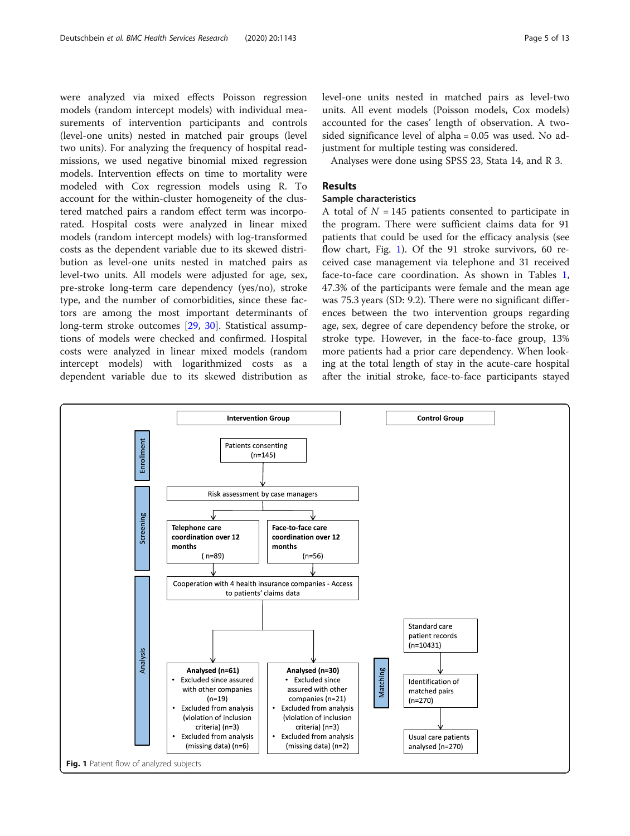were analyzed via mixed effects Poisson regression models (random intercept models) with individual measurements of intervention participants and controls (level-one units) nested in matched pair groups (level two units). For analyzing the frequency of hospital readmissions, we used negative binomial mixed regression models. Intervention effects on time to mortality were modeled with Cox regression models using R. To account for the within-cluster homogeneity of the clustered matched pairs a random effect term was incorporated. Hospital costs were analyzed in linear mixed models (random intercept models) with log-transformed costs as the dependent variable due to its skewed distribution as level-one units nested in matched pairs as level-two units. All models were adjusted for age, sex, pre-stroke long-term care dependency (yes/no), stroke type, and the number of comorbidities, since these factors are among the most important determinants of long-term stroke outcomes [[29](#page-11-0), [30\]](#page-11-0). Statistical assumptions of models were checked and confirmed. Hospital costs were analyzed in linear mixed models (random intercept models) with logarithmized costs as a dependent variable due to its skewed distribution as

level-one units nested in matched pairs as level-two units. All event models (Poisson models, Cox models) accounted for the cases' length of observation. A twosided significance level of alpha = 0.05 was used. No adjustment for multiple testing was considered.

Analyses were done using SPSS 23, Stata 14, and R 3.

# Results

# Sample characteristics

A total of  $N = 145$  patients consented to participate in the program. There were sufficient claims data for 91 patients that could be used for the efficacy analysis (see flow chart, Fig. 1). Of the 91 stroke survivors, 60 received case management via telephone and 31 received face-to-face care coordination. As shown in Tables [1](#page-5-0), 47.3% of the participants were female and the mean age was 75.3 years (SD: 9.2). There were no significant differences between the two intervention groups regarding age, sex, degree of care dependency before the stroke, or stroke type. However, in the face-to-face group, 13% more patients had a prior care dependency. When looking at the total length of stay in the acute-care hospital after the initial stroke, face-to-face participants stayed

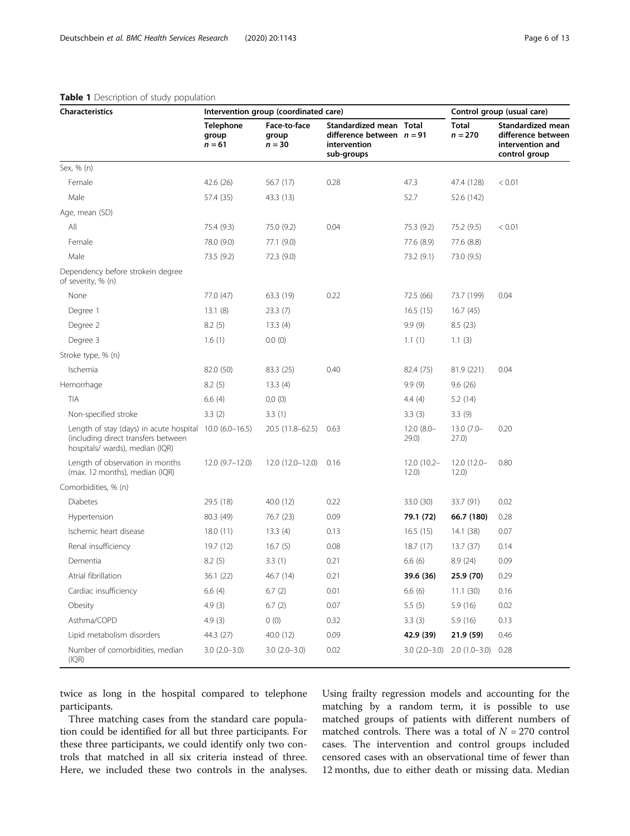| <b>Characteristics</b>                                                                                                            | Intervention group (coordinated care) |                                   |                                                                                      |                        | Control group (usual care)                 |                                                                              |
|-----------------------------------------------------------------------------------------------------------------------------------|---------------------------------------|-----------------------------------|--------------------------------------------------------------------------------------|------------------------|--------------------------------------------|------------------------------------------------------------------------------|
|                                                                                                                                   | <b>Telephone</b><br>group<br>$n = 61$ | Face-to-face<br>group<br>$n = 30$ | Standardized mean Total<br>difference between $n = 91$<br>intervention<br>sub-groups |                        | Total<br>$n = 270$                         | Standardized mean<br>difference between<br>intervention and<br>control group |
| Sex, % (n)                                                                                                                        |                                       |                                   |                                                                                      |                        |                                            |                                                                              |
| Female                                                                                                                            | 42.6 (26)                             | 56.7 (17)                         | 0.28                                                                                 | 47.3                   | 47.4 (128)                                 | < 0.01                                                                       |
| Male                                                                                                                              | 57.4 (35)                             | 43.3 (13)                         |                                                                                      | 52.7                   | 52.6 (142)                                 |                                                                              |
| Age, mean (SD)                                                                                                                    |                                       |                                   |                                                                                      |                        |                                            |                                                                              |
| All                                                                                                                               | 75.4 (9.3)                            | 75.0 (9.2)                        | 0.04                                                                                 | 75.3 (9.2)             | 75.2 (9.5)                                 | < 0.01                                                                       |
| Female                                                                                                                            | 78.0 (9.0)                            | 77.1 (9.0)                        |                                                                                      | 77.6 (8.9)             | 77.6 (8.8)                                 |                                                                              |
| Male                                                                                                                              | 73.5 (9.2)                            | 72.3 (9.0)                        |                                                                                      | 73.2 (9.1)             | 73.0 (9.5)                                 |                                                                              |
| Dependency before strokein degree<br>of severity, % (n)                                                                           |                                       |                                   |                                                                                      |                        |                                            |                                                                              |
| None                                                                                                                              | 77.0 (47)                             | 63.3 (19)                         | 0.22                                                                                 | 72.5 (66)              | 73.7 (199)                                 | 0.04                                                                         |
| Degree 1                                                                                                                          | 13.1(8)                               | 23.3(7)                           |                                                                                      | 16.5(15)               | 16.7(45)                                   |                                                                              |
| Degree 2                                                                                                                          | 8.2(5)                                | 13.3(4)                           |                                                                                      | 9.9(9)                 | 8.5(23)                                    |                                                                              |
| Degree 3                                                                                                                          | 1.6(1)                                | 0.0(0)                            |                                                                                      | 1.1(1)                 | 1.1(3)                                     |                                                                              |
| Stroke type, % (n)                                                                                                                |                                       |                                   |                                                                                      |                        |                                            |                                                                              |
| Ischemia                                                                                                                          | 82.0 (50)                             | 83.3 (25)                         | 0.40                                                                                 | 82.4 (75)              | 81.9 (221)                                 | 0.04                                                                         |
| Hemorrhage                                                                                                                        | 8.2(5)                                | 13.3(4)                           |                                                                                      | 9.9(9)                 | 9.6(26)                                    |                                                                              |
| TIA                                                                                                                               | 6.6(4)                                | 0,0(0)                            |                                                                                      | 4.4(4)                 | 5.2 (14)                                   |                                                                              |
| Non-specified stroke                                                                                                              | 3.3(2)                                | 3.3(1)                            |                                                                                      | 3.3(3)                 | 3.3(9)                                     |                                                                              |
| Length of stay (days) in acute hospital 10.0 (6.0-16.5)<br>(including direct transfers between<br>hospitals/ wards), median (IQR) |                                       | 20.5 (11.8-62.5)                  | 0.63                                                                                 | $12.0(8.0 -$<br>29.0)  | $13.0(7.0 -$<br>27.0)                      | 0.20                                                                         |
| Length of observation in months<br>(max. 12 months), median (IQR)                                                                 | $12.0(9.7-12.0)$                      | 12.0 (12.0-12.0)                  | 0.16                                                                                 | $12.0(10.2 -$<br>12.0) | 12.0 (12.0-<br>12.0)                       | 0.80                                                                         |
| Comorbidities, % (n)                                                                                                              |                                       |                                   |                                                                                      |                        |                                            |                                                                              |
| <b>Diabetes</b>                                                                                                                   | 29.5 (18)                             | 40.0 (12)                         | 0.22                                                                                 | 33.0 (30)              | 33.7 (91)                                  | 0.02                                                                         |
| Hypertension                                                                                                                      | 80.3 (49)                             | 76.7 (23)                         | 0.09                                                                                 | 79.1 (72)              | 66.7 (180)                                 | 0.28                                                                         |
| Ischemic heart disease                                                                                                            | 18.0(11)                              | 13.3(4)                           | 0.13                                                                                 | 16.5(15)               | 14.1 (38)                                  | 0.07                                                                         |
| Renal insufficiency                                                                                                               | 19.7(12)                              | 16.7(5)                           | 0.08                                                                                 | 18.7(17)               | 13.7 (37)                                  | 0.14                                                                         |
| Dementia                                                                                                                          | 8.2(5)                                | 3.3(1)                            | 0.21                                                                                 | 6.6(6)                 | 8.9(24)                                    | 0.09                                                                         |
| Atrial fibrillation                                                                                                               | 36.1 (22)                             | 46.7 (14)                         | 0.21                                                                                 | 39.6 (36)              | 25.9 (70)                                  | 0.29                                                                         |
| Cardiac insufficiency                                                                                                             | 6.6(4)                                | 6.7(2)                            | 0.01                                                                                 | 6.6(6)                 | 11.1(30)                                   | 0.16                                                                         |
| Obesity                                                                                                                           | 4.9(3)                                | 6.7(2)                            | 0.07                                                                                 | 5.5(5)                 | 5.9(16)                                    | 0.02                                                                         |
| Asthma/COPD                                                                                                                       | 4.9(3)                                | 0(0)                              | 0.32                                                                                 | 3.3(3)                 | 5.9(16)                                    | 0.13                                                                         |
| Lipid metabolism disorders                                                                                                        | 44.3 (27)                             | 40.0 (12)                         | 0.09                                                                                 | 42.9 (39)              | 21.9 (59)                                  | 0.46                                                                         |
| Number of comorbidities, median<br>(IQR)                                                                                          | $3.0(2.0-3.0)$                        | $3.0(2.0-3.0)$                    | 0.02                                                                                 |                        | $3.0$ $(2.0-3.0)$ $2.0$ $(1.0-3.0)$ $0.28$ |                                                                              |

# <span id="page-5-0"></span>Table 1 Description of study population

twice as long in the hospital compared to telephone participants.

Three matching cases from the standard care population could be identified for all but three participants. For these three participants, we could identify only two controls that matched in all six criteria instead of three. Here, we included these two controls in the analyses. Using frailty regression models and accounting for the matching by a random term, it is possible to use matched groups of patients with different numbers of matched controls. There was a total of  $N = 270$  control cases. The intervention and control groups included censored cases with an observational time of fewer than 12 months, due to either death or missing data. Median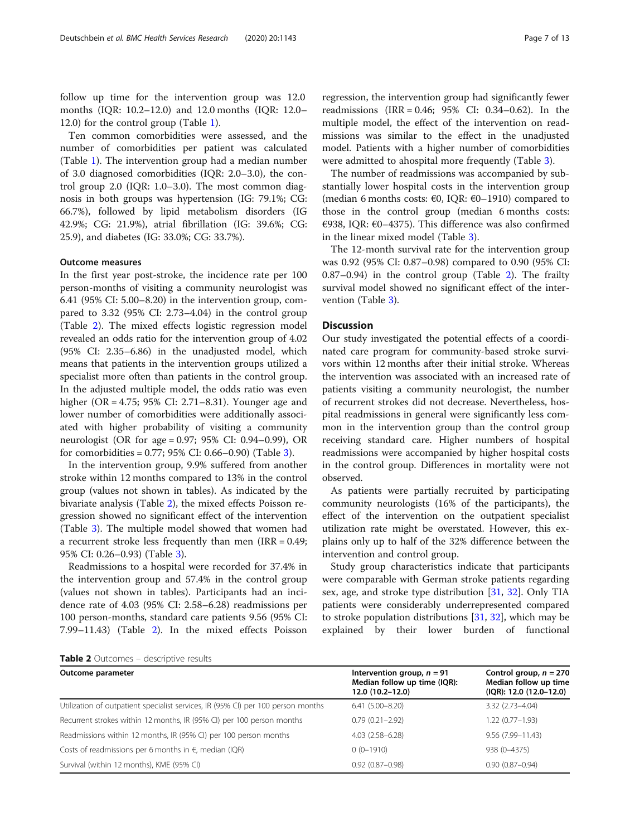follow up time for the intervention group was 12.0 months (IQR: 10.2–12.0) and 12.0 months (IQR: 12.0– 12.0) for the control group (Table [1](#page-5-0)).

Ten common comorbidities were assessed, and the number of comorbidities per patient was calculated (Table [1\)](#page-5-0). The intervention group had a median number of 3.0 diagnosed comorbidities (IQR: 2.0–3.0), the control group 2.0 (IQR: 1.0–3.0). The most common diagnosis in both groups was hypertension (IG: 79.1%; CG: 66.7%), followed by lipid metabolism disorders (IG 42.9%; CG: 21.9%), atrial fibrillation (IG: 39.6%; CG: 25.9), and diabetes (IG: 33.0%; CG: 33.7%).

# Outcome measures

In the first year post-stroke, the incidence rate per 100 person-months of visiting a community neurologist was 6.41 (95% CI: 5.00–8.20) in the intervention group, compared to 3.32 (95% CI: 2.73–4.04) in the control group (Table 2). The mixed effects logistic regression model revealed an odds ratio for the intervention group of 4.02 (95% CI: 2.35–6.86) in the unadjusted model, which means that patients in the intervention groups utilized a specialist more often than patients in the control group. In the adjusted multiple model, the odds ratio was even higher (OR = 4.75; 95% CI: 2.71–8.31). Younger age and lower number of comorbidities were additionally associated with higher probability of visiting a community neurologist (OR for age = 0.97; 95% CI: 0.94–0.99), OR for comorbidities =  $0.77$ ;  $95\%$  CI:  $0.66 - 0.90$ ) (Table [3](#page-7-0)).

In the intervention group, 9.9% suffered from another stroke within 12 months compared to 13% in the control group (values not shown in tables). As indicated by the bivariate analysis (Table 2), the mixed effects Poisson regression showed no significant effect of the intervention (Table [3\)](#page-7-0). The multiple model showed that women had a recurrent stroke less frequently than men (IRR = 0.49; 95% CI: 0.26–0.93) (Table [3](#page-7-0)).

Readmissions to a hospital were recorded for 37.4% in the intervention group and 57.4% in the control group (values not shown in tables). Participants had an incidence rate of 4.03 (95% CI: 2.58–6.28) readmissions per 100 person-months, standard care patients 9.56 (95% CI: 7.99–11.43) (Table 2). In the mixed effects Poisson

regression, the intervention group had significantly fewer readmissions (IRR = 0.46; 95% CI: 0.34–0.62). In the multiple model, the effect of the intervention on readmissions was similar to the effect in the unadjusted model. Patients with a higher number of comorbidities were admitted to ahospital more frequently (Table [3\)](#page-7-0).

The number of readmissions was accompanied by substantially lower hospital costs in the intervention group (median 6 months costs:  $\epsilon$ 0, IQR:  $\epsilon$ 0-1910) compared to those in the control group (median 6 months costs: €938, IQR: €0–4375). This difference was also confirmed in the linear mixed model (Table [3\)](#page-7-0).

The 12-month survival rate for the intervention group was 0.92 (95% CI: 0.87–0.98) compared to 0.90 (95% CI: 0.87–0.94) in the control group (Table 2). The frailty survival model showed no significant effect of the intervention (Table [3](#page-7-0)).

# **Discussion**

Our study investigated the potential effects of a coordinated care program for community-based stroke survivors within 12 months after their initial stroke. Whereas the intervention was associated with an increased rate of patients visiting a community neurologist, the number of recurrent strokes did not decrease. Nevertheless, hospital readmissions in general were significantly less common in the intervention group than the control group receiving standard care. Higher numbers of hospital readmissions were accompanied by higher hospital costs in the control group. Differences in mortality were not observed.

As patients were partially recruited by participating community neurologists (16% of the participants), the effect of the intervention on the outpatient specialist utilization rate might be overstated. However, this explains only up to half of the 32% difference between the intervention and control group.

Study group characteristics indicate that participants were comparable with German stroke patients regarding sex, age, and stroke type distribution [\[31](#page-11-0), [32\]](#page-11-0). Only TIA patients were considerably underrepresented compared to stroke population distributions  $[31, 32]$  $[31, 32]$  $[31, 32]$  $[31, 32]$  $[31, 32]$ , which may be explained by their lower burden of functional

|  | <b>Table 2</b> Outcomes – descriptive results |  |  |
|--|-----------------------------------------------|--|--|
|--|-----------------------------------------------|--|--|

| Outcome parameter                                                                | Intervention group, $n = 91$<br>Median follow up time (IQR):<br>12.0 (10.2-12.0) | Control group, $n = 270$<br>Median follow up time<br>$IQR$ : 12.0 $(12.0 - 12.0)$ |
|----------------------------------------------------------------------------------|----------------------------------------------------------------------------------|-----------------------------------------------------------------------------------|
| Utilization of outpatient specialist services, IR (95% CI) per 100 person months | $6.41(5.00 - 8.20)$                                                              | $3.32(2.73 - 4.04)$                                                               |
| Recurrent strokes within 12 months, IR (95% CI) per 100 person months            | $0.79(0.21 - 2.92)$                                                              | $1.22(0.77 - 1.93)$                                                               |
| Readmissions within 12 months, IR (95% CI) per 100 person months                 | $4.03(2.58 - 6.28)$                                                              | 9.56 (7.99-11.43)                                                                 |
| Costs of readmissions per 6 months in $\epsilon$ , median (IQR)                  | $0(0-1910)$                                                                      | 938 (0-4375)                                                                      |
| Survival (within 12 months), KME (95% CI)                                        | $0.92(0.87 - 0.98)$                                                              | $0.90(0.87 - 0.94)$                                                               |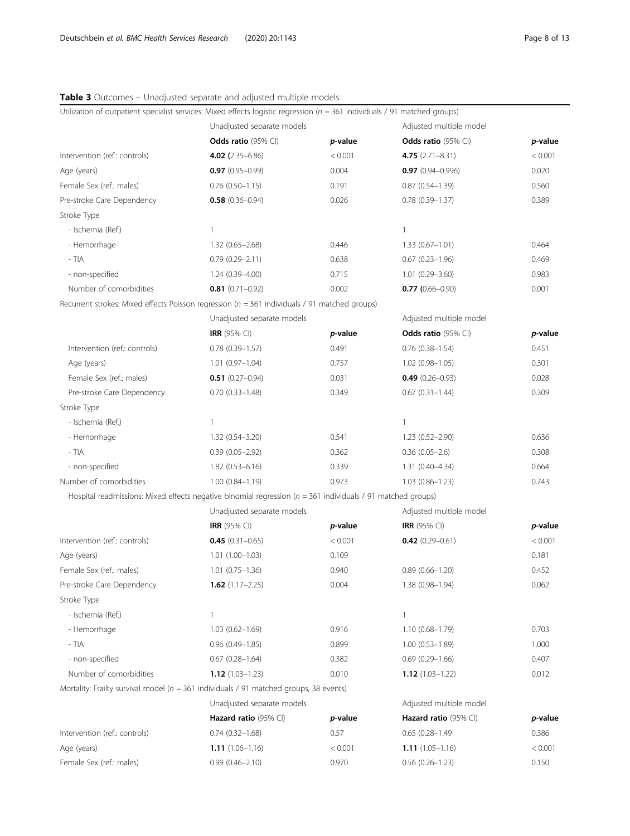<span id="page-7-0"></span>

| Table 3 Outcomes - Unadjusted separate and adjusted multiple models |
|---------------------------------------------------------------------|
|---------------------------------------------------------------------|

| Utilization of outpatient specialist services: Mixed effects logistic regression ( $n = 361$ individuals / 91 matched groups) |                                       |         |                                       |         |  |
|-------------------------------------------------------------------------------------------------------------------------------|---------------------------------------|---------|---------------------------------------|---------|--|
|                                                                                                                               | Unadjusted separate models            |         | Adjusted multiple model               |         |  |
|                                                                                                                               | <b>Odds ratio</b> $(95\% \text{ Cl})$ | p-value | <b>Odds ratio</b> $(95\% \text{ Cl})$ | p-value |  |
| Intervention (ref.: controls)                                                                                                 | 4.02 $(2.35 - 6.86)$                  | < 0.001 | $4.75(2.71 - 8.31)$                   | < 0.001 |  |
| Age (years)                                                                                                                   | $0.97(0.95 - 0.99)$                   | 0.004   | $0.97(0.94 - 0.996)$                  | 0.020   |  |
| Female Sex (ref.: males)                                                                                                      | $0.76$ $(0.50 - 1.15)$                | 0.191   | $0.87(0.54 - 1.39)$                   | 0.560   |  |
| Pre-stroke Care Dependency                                                                                                    | $0.58$ (0.36-0.94)                    | 0.026   | $0.78$ $(0.39 - 1.37)$                | 0.389   |  |
| Stroke Type                                                                                                                   |                                       |         |                                       |         |  |
| - Ischemia (Ref.)                                                                                                             | $\mathbf{1}$                          |         | $\mathbf{1}$                          |         |  |
| - Hemorrhage                                                                                                                  | $1.32(0.65 - 2.68)$                   | 0.446   | $1.33(0.67 - 1.01)$                   | 0.464   |  |
| $-$ TIA                                                                                                                       | $0.79(0.29 - 2.11)$                   | 0.638   | $0.67$ $(0.23 - 1.96)$                | 0.469   |  |
| - non-specified                                                                                                               | $1.24(0.39 - 4.00)$                   | 0.715   | $1.01$ $(0.29 - 3.60)$                | 0.983   |  |
| Number of comorbidities                                                                                                       | $0.81$ (0.71-0.92)                    | 0.002   | $0.77$ (0.66-0.90)                    | 0.001   |  |
| Recurrent strokes: Mixed effects Poisson regression ( $n = 361$ individuals / 91 matched groups)                              |                                       |         |                                       |         |  |
|                                                                                                                               | Unadjusted separate models            |         | Adjusted multiple model               |         |  |
|                                                                                                                               | <b>IRR</b> (95% CI)                   | p-value | Odds ratio (95% CI)                   | p-value |  |
| Intervention (ref.: controls)                                                                                                 | $0.78$ $(0.39 - 1.57)$                | 0.491   | $0.76$ $(0.38 - 1.54)$                | 0.451   |  |
| Age (years)                                                                                                                   | $1.01(0.97 - 1.04)$                   | 0.757   | $1.02(0.98 - 1.05)$                   | 0.301   |  |
| Female Sex (ref.: males)                                                                                                      | $0.51$ (0.27-0.94)                    | 0.031   | $0.49(0.26 - 0.93)$                   | 0.028   |  |
| Pre-stroke Care Dependency                                                                                                    | $0.70(0.33 - 1.48)$                   | 0.349   | $0.67$ $(0.31 - 1.44)$                | 0.309   |  |
| Stroke Type                                                                                                                   |                                       |         |                                       |         |  |
| - Ischemia (Ref.)                                                                                                             | $\mathbf{1}$                          |         | 1                                     |         |  |
| - Hemorrhage                                                                                                                  | 1.32 (0.54-3.20)                      | 0.541   | 1.23 (0.52-2.90)                      | 0.636   |  |
| - TIA                                                                                                                         | $0.39(0.05 - 2.92)$                   | 0.362   | $0.36(0.05-2.6)$                      | 0.308   |  |
| - non-specified                                                                                                               | $1.82(0.53 - 6.16)$                   | 0.339   | $1.31(0.40 - 4.34)$                   | 0.664   |  |
| Number of comorbidities                                                                                                       | $1.00(0.84 - 1.19)$                   | 0.973   | $1.03(0.86 - 1.23)$                   | 0.743   |  |
| Hospital readmissions: Mixed effects negative binomial regression ( $n = 361$ individuals / 91 matched groups)                |                                       |         |                                       |         |  |
|                                                                                                                               | Unadjusted separate models            |         | Adjusted multiple model               |         |  |
|                                                                                                                               | <b>IRR</b> (95% CI)                   | p-value | <b>IRR</b> (95% CI)                   | p-value |  |
| Intervention (ref.: controls)                                                                                                 | $0.45(0.31 - 0.65)$                   | < 0.001 | $0.42$ (0.29-0.61)                    | < 0.001 |  |
| Age (years)                                                                                                                   | $1.01(1.00-1.03)$                     | 0.109   |                                       | 0.181   |  |
| Female Sex (ref.: males)                                                                                                      | $1.01$ $(0.75 - 1.36)$                | 0.940   | $0.89$ $(0.66 - 1.20)$                | 0.452   |  |
| Pre-stroke Care Dependency                                                                                                    | <b>1.62</b> $(1.17 - 2.25)$           | 0.004   | 1.38 (0.98-1.94)                      | 0.062   |  |
| Stroke Type                                                                                                                   |                                       |         |                                       |         |  |
| - Ischemia (Ref.)                                                                                                             | $\mathbf{1}$                          |         | $\mathbf{1}$                          |         |  |
| - Hemorrhage                                                                                                                  | $1.03(0.62 - 1.69)$                   | 0.916   | 1.10 (0.68-1.79)                      | 0.703   |  |
| - TIA                                                                                                                         | $0.96(0.49 - 1.85)$                   | 0.899   | $1.00(0.53 - 1.89)$                   | 1.000   |  |
| - non-specified                                                                                                               | $0.67$ $(0.28 - 1.64)$                | 0.382   | $0.69$ $(0.29 - 1.66)$                | 0.407   |  |
| Number of comorbidities                                                                                                       | <b>1.12</b> $(1.03 - 1.23)$           | 0.010   | $1.12(1.03 - 1.22)$                   | 0.012   |  |
| Mortality: Frailty survival model ( $n = 361$ individuals / 91 matched groups, 38 events)                                     |                                       |         |                                       |         |  |
|                                                                                                                               | Unadjusted separate models            |         | Adjusted multiple model               |         |  |
|                                                                                                                               | Hazard ratio (95% CI)                 | p-value | Hazard ratio (95% CI)                 | p-value |  |
| Intervention (ref.: controls)                                                                                                 | $0.74(0.32 - 1.68)$                   | 0.57    | $0.65(0.28 - 1.49)$                   | 0.386   |  |
| Age (years)                                                                                                                   | $1.11(1.06 - 1.16)$                   | < 0.001 | $1.11(1.05 - 1.16)$                   | < 0.001 |  |
| Female Sex (ref.: males)                                                                                                      | $0.99(0.46 - 2.10)$                   | 0.970   | $0.56$ $(0.26 - 1.23)$                | 0.150   |  |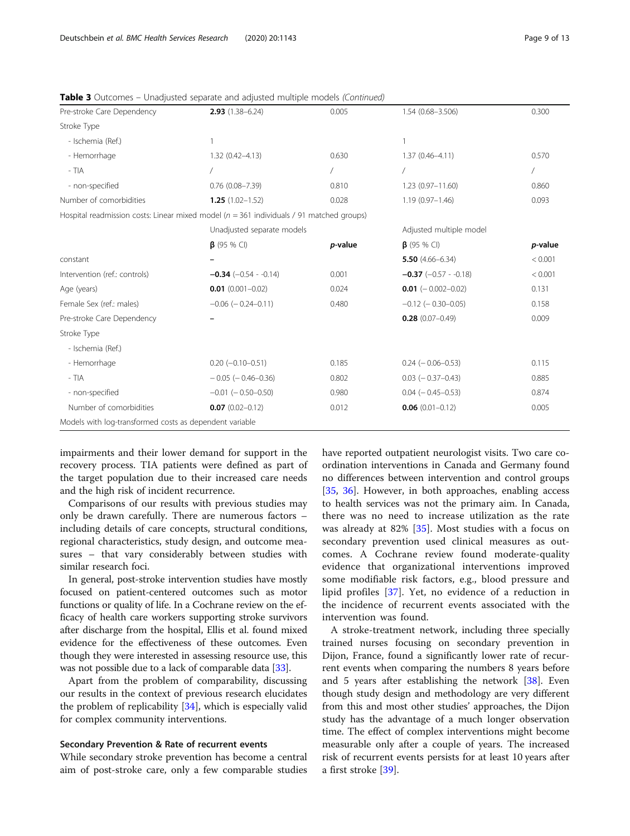| $2.93(1.38 - 6.24)$                                     | 0.005                      | 1.54 (0.68-3.506)                                                                           | 0.300                   |
|---------------------------------------------------------|----------------------------|---------------------------------------------------------------------------------------------|-------------------------|
|                                                         |                            |                                                                                             |                         |
| 1                                                       |                            |                                                                                             |                         |
| $1.32(0.42 - 4.13)$                                     | 0.630                      | $1.37(0.46 - 4.11)$                                                                         | 0.570                   |
|                                                         | $\sqrt{2}$                 |                                                                                             |                         |
| $0.76$ $(0.08 - 7.39)$                                  | 0.810                      | 1.23 (0.97-11.60)                                                                           | 0.860                   |
| $1.25(1.02 - 1.52)$                                     | 0.028                      | $1.19(0.97 - 1.46)$                                                                         | 0.093                   |
|                                                         |                            |                                                                                             |                         |
|                                                         | Unadjusted separate models |                                                                                             |                         |
| $\beta$ (95 % CI)                                       | p-value                    | $\beta$ (95 % CI)                                                                           | p-value                 |
|                                                         |                            | 5.50 $(4.66 - 6.34)$                                                                        | < 0.001                 |
| $-0.34$ (-0.54 - -0.14)                                 | 0.001                      | $-0.37$ (-0.57 - -0.18)                                                                     | < 0.001                 |
| $0.01$ (0.001-0.02)                                     | 0.024                      | $0.01$ (-0.002-0.02)                                                                        | 0.131                   |
| $-0.06$ ( $-0.24-0.11$ )                                | 0.480                      | $-0.12$ ( $-0.30-0.05$ )                                                                    | 0.158                   |
|                                                         |                            | $0.28(0.07 - 0.49)$                                                                         | 0.009                   |
|                                                         |                            |                                                                                             |                         |
|                                                         |                            |                                                                                             |                         |
| $0.20$ (-0.10-0.51)                                     | 0.185                      | $0.24 (-0.06 - 0.53)$                                                                       | 0.115                   |
| $-0.05$ ( $-0.46 - 0.36$ )                              | 0.802                      | $0.03$ ( $-0.37-0.43$ )                                                                     | 0.885                   |
| $-0.01$ ( $-0.50-0.50$ )                                | 0.980                      | $0.04 (-0.45 - 0.53)$                                                                       | 0.874                   |
| $0.07(0.02 - 0.12)$                                     | 0.012                      | $0.06$ (0.01-0.12)                                                                          | 0.005                   |
| Models with log-transformed costs as dependent variable |                            |                                                                                             |                         |
|                                                         |                            | Hospital readmission costs: Linear mixed model ( $n = 361$ individuals / 91 matched groups) | Adjusted multiple model |

**Table 3** Outcomes – Unadjusted separate and adjusted multiple models (Continued)

impairments and their lower demand for support in the recovery process. TIA patients were defined as part of the target population due to their increased care needs and the high risk of incident recurrence.

Comparisons of our results with previous studies may only be drawn carefully. There are numerous factors – including details of care concepts, structural conditions, regional characteristics, study design, and outcome measures – that vary considerably between studies with similar research foci.

In general, post-stroke intervention studies have mostly focused on patient-centered outcomes such as motor functions or quality of life. In a Cochrane review on the efficacy of health care workers supporting stroke survivors after discharge from the hospital, Ellis et al. found mixed evidence for the effectiveness of these outcomes. Even though they were interested in assessing resource use, this was not possible due to a lack of comparable data [\[33\]](#page-11-0).

Apart from the problem of comparability, discussing our results in the context of previous research elucidates the problem of replicability [[34](#page-11-0)], which is especially valid for complex community interventions.

# Secondary Prevention & Rate of recurrent events

While secondary stroke prevention has become a central aim of post-stroke care, only a few comparable studies

have reported outpatient neurologist visits. Two care coordination interventions in Canada and Germany found no differences between intervention and control groups [[35,](#page-11-0) [36](#page-11-0)]. However, in both approaches, enabling access to health services was not the primary aim. In Canada, there was no need to increase utilization as the rate was already at 82% [[35\]](#page-11-0). Most studies with a focus on secondary prevention used clinical measures as outcomes. A Cochrane review found moderate-quality evidence that organizational interventions improved some modifiable risk factors, e.g., blood pressure and lipid profiles [[37\]](#page-11-0). Yet, no evidence of a reduction in the incidence of recurrent events associated with the intervention was found.

A stroke-treatment network, including three specially trained nurses focusing on secondary prevention in Dijon, France, found a significantly lower rate of recurrent events when comparing the numbers 8 years before and 5 years after establishing the network  $[38]$  $[38]$ . Even though study design and methodology are very different from this and most other studies' approaches, the Dijon study has the advantage of a much longer observation time. The effect of complex interventions might become measurable only after a couple of years. The increased risk of recurrent events persists for at least 10 years after a first stroke [\[39](#page-11-0)].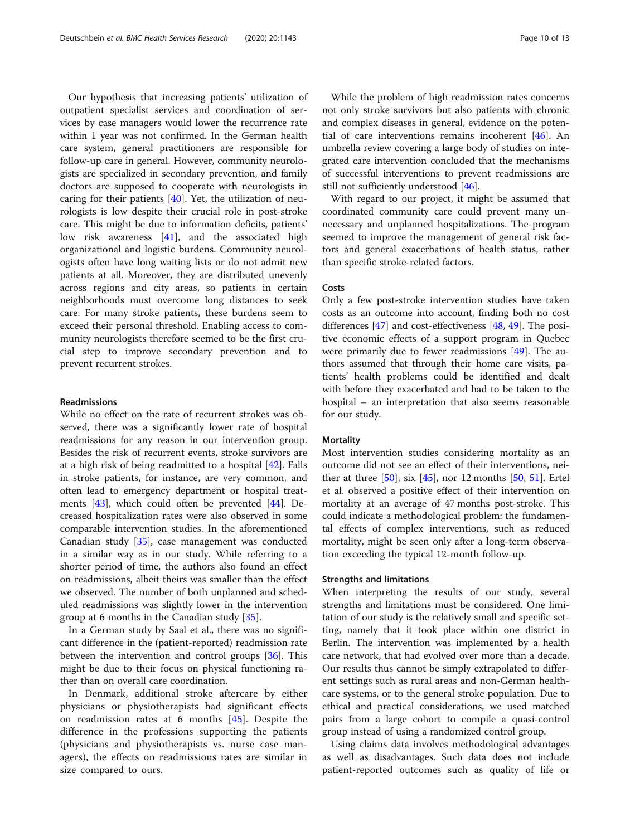Our hypothesis that increasing patients' utilization of outpatient specialist services and coordination of services by case managers would lower the recurrence rate within 1 year was not confirmed. In the German health care system, general practitioners are responsible for follow-up care in general. However, community neurologists are specialized in secondary prevention, and family doctors are supposed to cooperate with neurologists in caring for their patients [[40](#page-11-0)]. Yet, the utilization of neurologists is low despite their crucial role in post-stroke care. This might be due to information deficits, patients' low risk awareness [\[41](#page-11-0)], and the associated high organizational and logistic burdens. Community neurologists often have long waiting lists or do not admit new patients at all. Moreover, they are distributed unevenly across regions and city areas, so patients in certain neighborhoods must overcome long distances to seek care. For many stroke patients, these burdens seem to exceed their personal threshold. Enabling access to community neurologists therefore seemed to be the first crucial step to improve secondary prevention and to prevent recurrent strokes.

# Readmissions

While no effect on the rate of recurrent strokes was observed, there was a significantly lower rate of hospital readmissions for any reason in our intervention group. Besides the risk of recurrent events, stroke survivors are at a high risk of being readmitted to a hospital [[42\]](#page-11-0). Falls in stroke patients, for instance, are very common, and often lead to emergency department or hospital treatments [[43\]](#page-11-0), which could often be prevented [\[44](#page-11-0)]. Decreased hospitalization rates were also observed in some comparable intervention studies. In the aforementioned Canadian study [\[35](#page-11-0)], case management was conducted in a similar way as in our study. While referring to a shorter period of time, the authors also found an effect on readmissions, albeit theirs was smaller than the effect we observed. The number of both unplanned and scheduled readmissions was slightly lower in the intervention group at 6 months in the Canadian study [\[35\]](#page-11-0).

In a German study by Saal et al., there was no significant difference in the (patient-reported) readmission rate between the intervention and control groups [\[36\]](#page-11-0). This might be due to their focus on physical functioning rather than on overall care coordination.

In Denmark, additional stroke aftercare by either physicians or physiotherapists had significant effects on readmission rates at 6 months [\[45](#page-11-0)]. Despite the difference in the professions supporting the patients (physicians and physiotherapists vs. nurse case managers), the effects on readmissions rates are similar in size compared to ours.

While the problem of high readmission rates concerns not only stroke survivors but also patients with chronic and complex diseases in general, evidence on the potential of care interventions remains incoherent  $[46]$  $[46]$ . An umbrella review covering a large body of studies on integrated care intervention concluded that the mechanisms of successful interventions to prevent readmissions are still not sufficiently understood [[46](#page-11-0)].

With regard to our project, it might be assumed that coordinated community care could prevent many unnecessary and unplanned hospitalizations. The program seemed to improve the management of general risk factors and general exacerbations of health status, rather than specific stroke-related factors.

# Costs

Only a few post-stroke intervention studies have taken costs as an outcome into account, finding both no cost differences [[47\]](#page-11-0) and cost-effectiveness [[48,](#page-12-0) [49\]](#page-12-0). The positive economic effects of a support program in Quebec were primarily due to fewer readmissions [\[49\]](#page-12-0). The authors assumed that through their home care visits, patients' health problems could be identified and dealt with before they exacerbated and had to be taken to the hospital – an interpretation that also seems reasonable for our study.

# **Mortality**

Most intervention studies considering mortality as an outcome did not see an effect of their interventions, neither at three  $[50]$  $[50]$ , six  $[45]$  $[45]$  $[45]$ , nor 12 months  $[50, 51]$  $[50, 51]$  $[50, 51]$ . Ertel et al. observed a positive effect of their intervention on mortality at an average of 47 months post-stroke. This could indicate a methodological problem: the fundamental effects of complex interventions, such as reduced mortality, might be seen only after a long-term observation exceeding the typical 12-month follow-up.

# Strengths and limitations

When interpreting the results of our study, several strengths and limitations must be considered. One limitation of our study is the relatively small and specific setting, namely that it took place within one district in Berlin. The intervention was implemented by a health care network, that had evolved over more than a decade. Our results thus cannot be simply extrapolated to different settings such as rural areas and non-German healthcare systems, or to the general stroke population. Due to ethical and practical considerations, we used matched pairs from a large cohort to compile a quasi-control group instead of using a randomized control group.

Using claims data involves methodological advantages as well as disadvantages. Such data does not include patient-reported outcomes such as quality of life or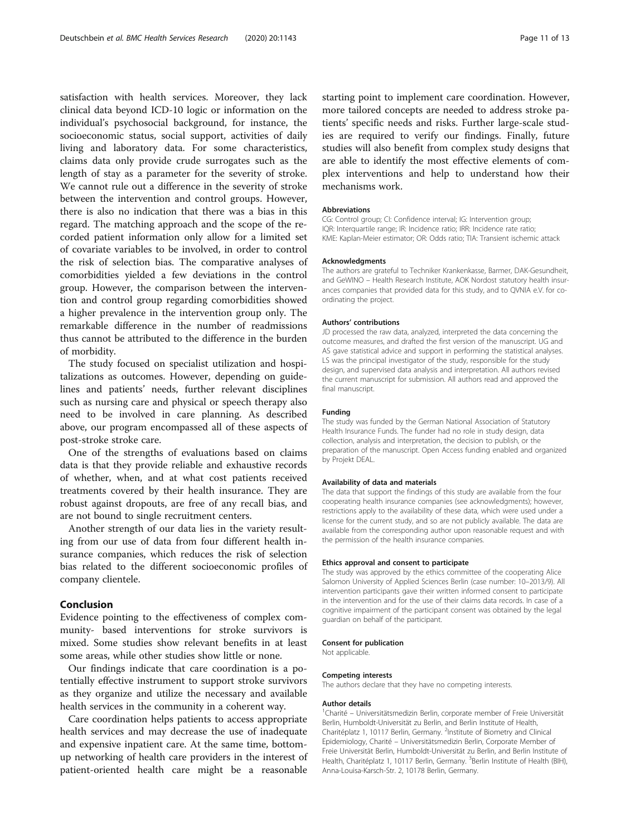satisfaction with health services. Moreover, they lack clinical data beyond ICD-10 logic or information on the individual's psychosocial background, for instance, the socioeconomic status, social support, activities of daily living and laboratory data. For some characteristics, claims data only provide crude surrogates such as the length of stay as a parameter for the severity of stroke. We cannot rule out a difference in the severity of stroke between the intervention and control groups. However, there is also no indication that there was a bias in this regard. The matching approach and the scope of the recorded patient information only allow for a limited set of covariate variables to be involved, in order to control the risk of selection bias. The comparative analyses of comorbidities yielded a few deviations in the control group. However, the comparison between the intervention and control group regarding comorbidities showed a higher prevalence in the intervention group only. The remarkable difference in the number of readmissions thus cannot be attributed to the difference in the burden of morbidity.

The study focused on specialist utilization and hospitalizations as outcomes. However, depending on guidelines and patients' needs, further relevant disciplines such as nursing care and physical or speech therapy also need to be involved in care planning. As described above, our program encompassed all of these aspects of post-stroke stroke care.

One of the strengths of evaluations based on claims data is that they provide reliable and exhaustive records of whether, when, and at what cost patients received treatments covered by their health insurance. They are robust against dropouts, are free of any recall bias, and are not bound to single recruitment centers.

Another strength of our data lies in the variety resulting from our use of data from four different health insurance companies, which reduces the risk of selection bias related to the different socioeconomic profiles of company clientele.

# Conclusion

Evidence pointing to the effectiveness of complex community- based interventions for stroke survivors is mixed. Some studies show relevant benefits in at least some areas, while other studies show little or none.

Our findings indicate that care coordination is a potentially effective instrument to support stroke survivors as they organize and utilize the necessary and available health services in the community in a coherent way.

Care coordination helps patients to access appropriate health services and may decrease the use of inadequate and expensive inpatient care. At the same time, bottomup networking of health care providers in the interest of patient-oriented health care might be a reasonable

starting point to implement care coordination. However, more tailored concepts are needed to address stroke patients' specific needs and risks. Further large-scale studies are required to verify our findings. Finally, future studies will also benefit from complex study designs that are able to identify the most effective elements of complex interventions and help to understand how their mechanisms work.

#### Abbreviations

CG: Control group; CI: Confidence interval; IG: Intervention group; IQR: Interquartile range; IR: Incidence ratio; IRR: Incidence rate ratio; KME: Kaplan-Meier estimator; OR: Odds ratio; TIA: Transient ischemic attack

#### Acknowledgments

The authors are grateful to Techniker Krankenkasse, Barmer, DAK-Gesundheit, and GeWINO – Health Research Institute, AOK Nordost statutory health insurances companies that provided data for this study, and to QVNIA e.V. for coordinating the project.

## Authors' contributions

JD processed the raw data, analyzed, interpreted the data concerning the outcome measures, and drafted the first version of the manuscript. UG and AS gave statistical advice and support in performing the statistical analyses. LS was the principal investigator of the study, responsible for the study design, and supervised data analysis and interpretation. All authors revised the current manuscript for submission. All authors read and approved the final manuscript.

#### Funding

The study was funded by the German National Association of Statutory Health Insurance Funds. The funder had no role in study design, data collection, analysis and interpretation, the decision to publish, or the preparation of the manuscript. Open Access funding enabled and organized by Projekt DEAL.

# Availability of data and materials

The data that support the findings of this study are available from the four cooperating health insurance companies (see acknowledgments); however, restrictions apply to the availability of these data, which were used under a license for the current study, and so are not publicly available. The data are available from the corresponding author upon reasonable request and with the permission of the health insurance companies.

### Ethics approval and consent to participate

The study was approved by the ethics committee of the cooperating Alice Salomon University of Applied Sciences Berlin (case number: 10–2013/9). All intervention participants gave their written informed consent to participate in the intervention and for the use of their claims data records. In case of a cognitive impairment of the participant consent was obtained by the legal guardian on behalf of the participant.

#### Consent for publication

Not applicable.

#### Competing interests

The authors declare that they have no competing interests.

#### Author details

<sup>1</sup> Charité - Universitätsmedizin Berlin, corporate member of Freie Universität Berlin, Humboldt-Universität zu Berlin, and Berlin Institute of Health, Charitéplatz 1, 10117 Berlin, Germany. <sup>2</sup>Institute of Biometry and Clinical Epidemiology, Charité – Universitätsmedizin Berlin, Corporate Member of Freie Universität Berlin, Humboldt-Universität zu Berlin, and Berlin Institute of Health, Charitéplatz 1, 10117 Berlin, Germany. <sup>3</sup>Berlin Institute of Health (BIH) Anna-Louisa-Karsch-Str. 2, 10178 Berlin, Germany.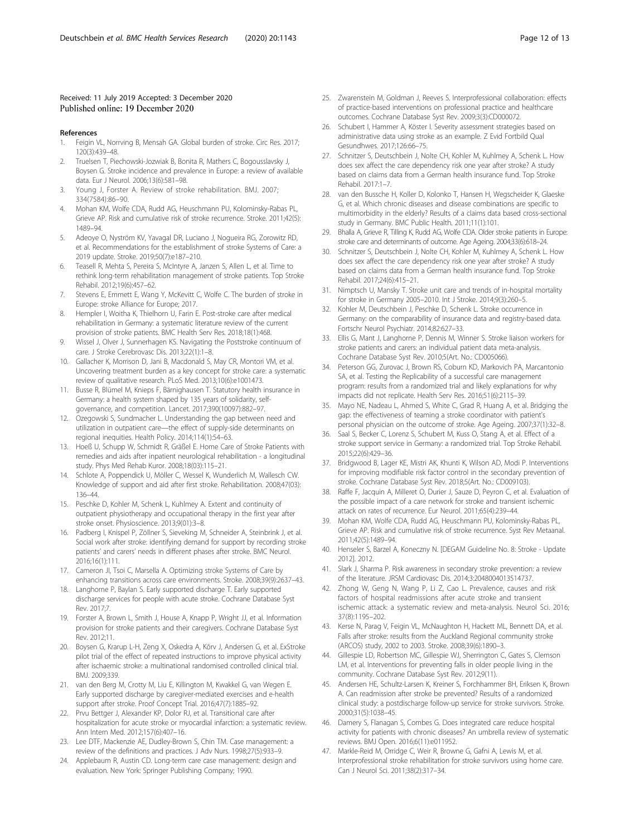# <span id="page-11-0"></span>Received: 11 July 2019 Accepted: 3 December 2020 Published online: 19 December 2020

## References

- 1. Feigin VL, Norrving B, Mensah GA. Global burden of stroke. Circ Res. 2017; 120(3):439–48.
- 2. Truelsen T, Piechowski-Jozwiak B, Bonita R, Mathers C, Bogousslavsky J, Boysen G. Stroke incidence and prevalence in Europe: a review of available data. Eur J Neurol. 2006;13(6):581–98.
- 3. Young J, Forster A. Review of stroke rehabilitation. BMJ. 2007; 334(7584):86–90.
- 4. Mohan KM, Wolfe CDA, Rudd AG, Heuschmann PU, Kolominsky-Rabas PL, Grieve AP. Risk and cumulative risk of stroke recurrence. Stroke. 2011;42(5): 1489–94.
- 5. Adeoye O, Nyström KV, Yavagal DR, Luciano J, Nogueira RG, Zorowitz RD, et al. Recommendations for the establishment of stroke Systems of Care: a 2019 update. Stroke. 2019;50(7):e187–210.
- 6. Teasell R, Mehta S, Pereira S, McIntyre A, Janzen S, Allen L, et al. Time to rethink long-term rehabilitation management of stroke patients. Top Stroke Rehabil. 2012;19(6):457–62.
- Stevens E, Emmett E, Wang Y, McKevitt C, Wolfe C. The burden of stroke in Europe: stroke Alliance for Europe; 2017.
- 8. Hempler I, Woitha K, Thielhorn U, Farin E. Post-stroke care after medical rehabilitation in Germany: a systematic literature review of the current provision of stroke patients. BMC Health Serv Res. 2018;18(1):468.
- 9. Wissel J, Olver J, Sunnerhagen KS. Navigating the Poststroke continuum of care. J Stroke Cerebrovasc Dis. 2013;22(1):1–8.
- 10. Gallacher K, Morrison D, Jani B, Macdonald S, May CR, Montori VM, et al. Uncovering treatment burden as a key concept for stroke care: a systematic review of qualitative research. PLoS Med. 2013;10(6):e1001473.
- 11. Busse R, Blümel M, Knieps F, Bärnighausen T. Statutory health insurance in Germany: a health system shaped by 135 years of solidarity, selfgovernance, and competition. Lancet. 2017;390(10097):882–97.
- 12. Ozegowski S, Sundmacher L. Understanding the gap between need and utilization in outpatient care—the effect of supply-side determinants on regional inequities. Health Policy. 2014;114(1):54–63.
- 13. Hoeß U, Schupp W, Schmidt R, Gräßel E. Home Care of Stroke Patients with remedies and aids after inpatient neurological rehabilitation - a longitudinal study. Phys Med Rehab Kuror. 2008;18(03):115–21.
- 14. Schlote A, Poppendick U, Möller C, Wessel K, Wunderlich M, Wallesch CW. Knowledge of support and aid after first stroke. Rehabilitation. 2008;47(03): 136–44.
- 15. Peschke D, Kohler M, Schenk L, Kuhlmey A. Extent and continuity of outpatient physiotherapy and occupational therapy in the first year after stroke onset. Physioscience. 2013;9(01):3–8.
- 16. Padberg I, Knispel P, Zöllner S, Sieveking M, Schneider A, Steinbrink J, et al. Social work after stroke: identifying demand for support by recording stroke patients' and carers' needs in different phases after stroke. BMC Neurol. 2016;16(1):111.
- 17. Cameron JI, Tsoi C, Marsella A. Optimizing stroke Systems of Care by enhancing transitions across care environments. Stroke. 2008;39(9):2637–43.
- 18. Langhorne P, Baylan S. Early supported discharge T. Early supported discharge services for people with acute stroke. Cochrane Database Syst Rev. 2017;7.
- 19. Forster A, Brown L, Smith J, House A, Knapp P, Wright JJ, et al. Information provision for stroke patients and their caregivers. Cochrane Database Syst Rev. 2012;11.
- 20. Boysen G, Krarup L-H, Zeng X, Oskedra A, Kõrv J, Andersen G, et al. ExStroke pilot trial of the effect of repeated instructions to improve physical activity after ischaemic stroke: a multinational randomised controlled clinical trial. BMJ. 2009;339.
- 21. van den Berg M, Crotty M, Liu E, Killington M, Kwakkel G, van Wegen E. Early supported discharge by caregiver-mediated exercises and e-health support after stroke. Proof Concept Trial. 2016;47(7):1885–92.
- 22. Prvu Bettger J, Alexander KP, Dolor RJ, et al. Transitional care after hospitalization for acute stroke or myocardial infarction: a systematic review. Ann Intern Med. 2012;157(6):407–16.
- 23. Lee DTF, Mackenzie AE, Dudley-Brown S, Chin TM. Case management: a review of the definitions and practices. J Adv Nurs. 1998;27(5):933–9.
- 24. Applebaum R, Austin CD. Long-term care case management: design and evaluation. New York: Springer Publishing Company; 1990.
- 25. Zwarenstein M, Goldman J, Reeves S. Interprofessional collaboration: effects of practice-based interventions on professional practice and healthcare outcomes. Cochrane Database Syst Rev. 2009;3(3):CD000072.
- 26. Schubert I, Hammer A, Köster I. Severity assessment strategies based on administrative data using stroke as an example. Z Evid Fortbild Qual Gesundhwes. 2017;126:66–75.
- 27. Schnitzer S, Deutschbein J, Nolte CH, Kohler M, Kuhlmey A, Schenk L. How does sex affect the care dependency risk one year after stroke? A study based on claims data from a German health insurance fund. Top Stroke Rehabil. 2017:1–7.
- 28. van den Bussche H, Koller D, Kolonko T, Hansen H, Wegscheider K, Glaeske G, et al. Which chronic diseases and disease combinations are specific to multimorbidity in the elderly? Results of a claims data based cross-sectional study in Germany. BMC Public Health. 2011;11(1):101.
- 29. Bhalla A, Grieve R, Tilling K, Rudd AG, Wolfe CDA. Older stroke patients in Europe: stroke care and determinants of outcome. Age Ageing. 2004;33(6):618–24.
- 30. Schnitzer S, Deutschbein J, Nolte CH, Kohler M, Kuhlmey A, Schenk L. How does sex affect the care dependency risk one year after stroke? A study based on claims data from a German health insurance fund. Top Stroke Rehabil. 2017;24(6):415–21.
- 31. Nimptsch U, Mansky T. Stroke unit care and trends of in-hospital mortality for stroke in Germany 2005–2010. Int J Stroke. 2014;9(3):260–5.
- 32. Kohler M, Deutschbein J, Peschke D, Schenk L. Stroke occurrence in Germany: on the comparability of insurance data and registry-based data. Fortschr Neurol Psychiatr. 2014;82:627–33.
- 33. Ellis G, Mant J, Langhorne P, Dennis M, Winner S. Stroke liaison workers for stroke patients and carers: an individual patient data meta-analysis. Cochrane Database Syst Rev. 2010;5(Art. No.: CD005066).
- 34. Peterson GG, Zurovac J, Brown RS, Coburn KD, Markovich PA, Marcantonio SA, et al. Testing the Replicability of a successful care management program: results from a randomized trial and likely explanations for why impacts did not replicate. Health Serv Res. 2016;51(6):2115–39.
- 35. Mayo NE, Nadeau L, Ahmed S, White C, Grad R, Huang A, et al. Bridging the gap: the effectiveness of teaming a stroke coordinator with patient's personal physician on the outcome of stroke. Age Ageing. 2007;37(1):32–8.
- 36. Saal S, Becker C, Lorenz S, Schubert M, Kuss O, Stang A, et al. Effect of a stroke support service in Germany: a randomized trial. Top Stroke Rehabil. 2015;22(6):429–36.
- 37. Bridgwood B, Lager KE, Mistri AK, Khunti K, Wilson AD, Modi P. Interventions for improving modifiable risk factor control in the secondary prevention of stroke. Cochrane Database Syst Rev. 2018;5(Art. No.: CD009103).
- 38. Raffe F, Jacquin A, Milleret O, Durier J, Sauze D, Peyron C, et al. Evaluation of the possible impact of a care network for stroke and transient ischemic attack on rates of recurrence. Eur Neurol. 2011;65(4):239–44.
- 39. Mohan KM, Wolfe CDA, Rudd AG, Heuschmann PU, Kolominsky-Rabas PL, Grieve AP. Risk and cumulative risk of stroke recurrence. Syst Rev Metaanal. 2011;42(5):1489–94.
- 40. Henseler S, Barzel A, Koneczny N. [DEGAM Guideline No. 8: Stroke Update 2012]. 2012.
- 41. Slark J, Sharma P. Risk awareness in secondary stroke prevention: a review of the literature. JRSM Cardiovasc Dis. 2014;3:2048004013514737.
- 42. Zhong W, Geng N, Wang P, Li Z, Cao L. Prevalence, causes and risk factors of hospital readmissions after acute stroke and transient ischemic attack: a systematic review and meta-analysis. Neurol Sci. 2016; 37(8):1195–202.
- 43. Kerse N, Parag V, Feigin VL, McNaughton H, Hackett ML, Bennett DA, et al. Falls after stroke: results from the Auckland Regional community stroke (ARCOS) study, 2002 to 2003. Stroke. 2008;39(6):1890–3.
- 44. Gillespie LD, Robertson MC, Gillespie WJ, Sherrington C, Gates S, Clemson LM, et al. Interventions for preventing falls in older people living in the community. Cochrane Database Syst Rev. 2012;9(11).
- 45. Andersen HE, Schultz-Larsen K, Kreiner S, Forchhammer BH, Eriksen K, Brown A. Can readmission after stroke be prevented? Results of a randomized clinical study: a postdischarge follow-up service for stroke survivors. Stroke. 2000;31(5):1038–45.
- 46. Damery S, Flanagan S, Combes G. Does integrated care reduce hospital activity for patients with chronic diseases? An umbrella review of systematic reviews. BMJ Open. 2016;6(11):e011952.
- 47. Markle-Reid M, Orridge C, Weir R, Browne G, Gafni A, Lewis M, et al. Interprofessional stroke rehabilitation for stroke survivors using home care. Can J Neurol Sci. 2011;38(2):317–34.